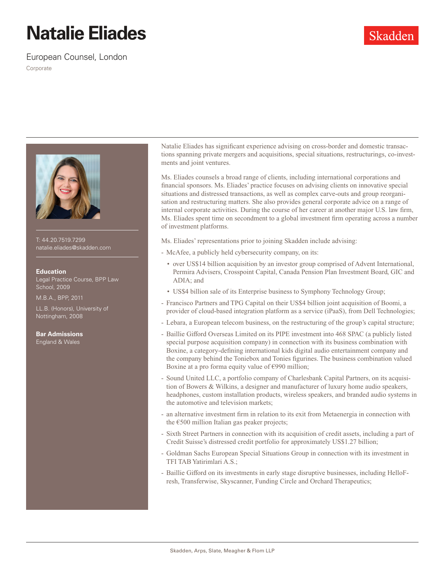## **Natalie Eliades**

European Counsel, London

Corporate



T: 44.20.7519.7299 natalie.eliades@skadden.com

## **Education**

Legal Practice Course, BPP Law School, 2009

M.B.A., BPP, 2011

LL.B. (Honors), University of Nottingham, 2008

**Bar Admissions**

England & Wales

Natalie Eliades has significant experience advising on cross-border and domestic transactions spanning private mergers and acquisitions, special situations, restructurings, co-investments and joint ventures.

Ms. Eliades counsels a broad range of clients, including international corporations and financial sponsors. Ms. Eliades' practice focuses on advising clients on innovative special situations and distressed transactions, as well as complex carve-outs and group reorganisation and restructuring matters. She also provides general corporate advice on a range of internal corporate activities. During the course of her career at another major U.S. law firm, Ms. Eliades spent time on secondment to a global investment firm operating across a number of investment platforms.

Ms. Eliades' representations prior to joining Skadden include advising:

- McAfee, a publicly held cybersecurity company, on its:
	- over US\$14 billion acquisition by an investor group comprised of Advent International, Permira Advisers, Crosspoint Capital, Canada Pension Plan Investment Board, GIC and ADIA; and
	- US\$4 billion sale of its Enterprise business to Symphony Technology Group;
- Francisco Partners and TPG Capital on their US\$4 billion joint acquisition of Boomi, a provider of cloud-based integration platform as a service (iPaaS), from Dell Technologies;
- Lebara, a European telecom business, on the restructuring of the group's capital structure;
- Baillie Gifford Overseas Limited on its PIPE investment into 468 SPAC (a publicly listed special purpose acquisition company) in connection with its business combination with Boxine, a category-defining international kids digital audio entertainment company and the company behind the Toniebox and Tonies figurines. The business combination valued Boxine at a pro forma equity value of  $\epsilon$ 990 million;
- Sound United LLC, a portfolio company of Charlesbank Capital Partners, on its acquisition of Bowers & Wilkins, a designer and manufacturer of luxury home audio speakers, headphones, custom installation products, wireless speakers, and branded audio systems in the automotive and television markets;
- an alternative investment firm in relation to its exit from Metaenergia in connection with the €500 million Italian gas peaker projects;
- Sixth Street Partners in connection with its acquisition of credit assets, including a part of Credit Suisse's distressed credit portfolio for approximately US\$1.27 billion;
- Goldman Sachs European Special Situations Group in connection with its investment in TFI TAB Yatirimlari A.S.;
- Baillie Gifford on its investments in early stage disruptive businesses, including HelloFresh, Transferwise, Skyscanner, Funding Circle and Orchard Therapeutics;